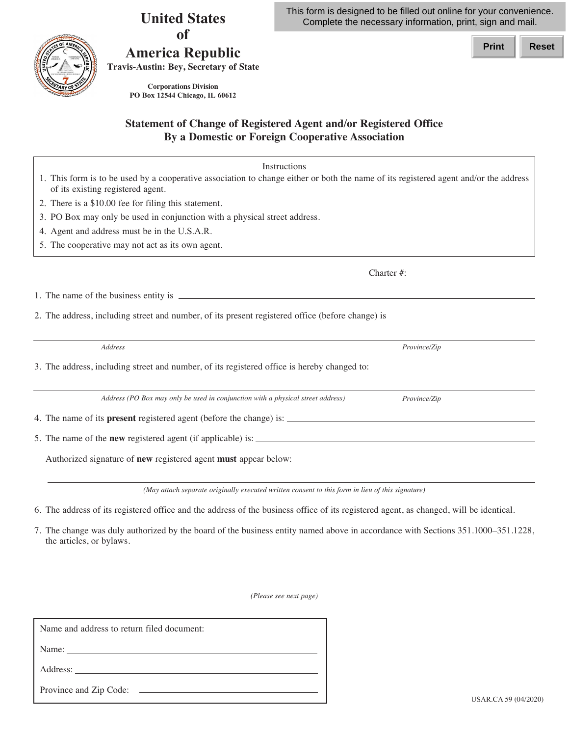USAR.CA 59 (04/2020)

## This form is designed to be filled out online for your convenience. Complete the necessary information, print, sign and mail.

**Print Reset**

**United States of** 

## **America Republic Travis-Austin: Bey, Secretary of State**

 **PO Box 12544 Chicago, IL 60612 Corporations Division**

## **Statement of Change of Registered Agent and/or Registered Office By a Domestic or Foreign Cooperative Association**

| Instructions<br>1. This form is to be used by a cooperative association to change either or both the name of its registered agent and/or the address |              |
|------------------------------------------------------------------------------------------------------------------------------------------------------|--------------|
| of its existing registered agent.                                                                                                                    |              |
| 2. There is a \$10.00 fee for filing this statement.                                                                                                 |              |
| 3. PO Box may only be used in conjunction with a physical street address.                                                                            |              |
| 4. Agent and address must be in the U.S.A.R.                                                                                                         |              |
| 5. The cooperative may not act as its own agent.                                                                                                     |              |
|                                                                                                                                                      |              |
|                                                                                                                                                      |              |
| 2. The address, including street and number, of its present registered office (before change) is                                                     |              |
| Address                                                                                                                                              | Province/Zip |
| 3. The address, including street and number, of its registered office is hereby changed to:                                                          |              |
| Address (PO Box may only be used in conjunction with a physical street address)                                                                      | Province/Zip |
|                                                                                                                                                      |              |
|                                                                                                                                                      |              |
| Authorized signature of new registered agent must appear below:                                                                                      |              |
| (May attach separate originally executed written consent to this form in lieu of this signature)                                                     |              |
| 6. The address of its registered office and the address of the business office of its registered agent, as changed, will be identical.               |              |

 7. The change was duly authorized by the board of the business entity named above in accordance with Sections 351.1000–351.1228, the articles, or bylaws.

 *(Please see next page)*

| Name and address to return filed document: |
|--------------------------------------------|
|                                            |
|                                            |
|                                            |